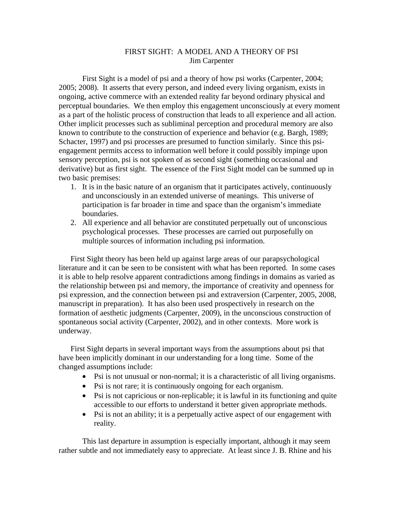## FIRST SIGHT: A MODEL AND A THEORY OF PSI Jim Carpenter

First Sight is a model of psi and a theory of how psi works (Carpenter, 2004; 2005; 2008). It asserts that every person, and indeed every living organism, exists in ongoing, active commerce with an extended reality far beyond ordinary physical and perceptual boundaries. We then employ this engagement unconsciously at every moment as a part of the holistic process of construction that leads to all experience and all action. Other implicit processes such as subliminal perception and procedural memory are also known to contribute to the construction of experience and behavior (e.g. Bargh, 1989; Schacter, 1997) and psi processes are presumed to function similarly. Since this psiengagement permits access to information well before it could possibly impinge upon sensory perception, psi is not spoken of as second sight (something occasional and derivative) but as first sight. The essence of the First Sight model can be summed up in two basic premises:

- 1. It is in the basic nature of an organism that it participates actively, continuously and unconsciously in an extended universe of meanings. This universe of participation is far broader in time and space than the organism's immediate boundaries.
- 2. All experience and all behavior are constituted perpetually out of unconscious psychological processes. These processes are carried out purposefully on multiple sources of information including psi information.

First Sight theory has been held up against large areas of our parapsychological literature and it can be seen to be consistent with what has been reported. In some cases it is able to help resolve apparent contradictions among findings in domains as varied as the relationship between psi and memory, the importance of creativity and openness for psi expression, and the connection between psi and extraversion (Carpenter, 2005, 2008, manuscript in preparation). It has also been used prospectively in research on the formation of aesthetic judgments (Carpenter, 2009), in the unconscious construction of spontaneous social activity (Carpenter, 2002), and in other contexts. More work is underway.

First Sight departs in several important ways from the assumptions about psi that have been implicitly dominant in our understanding for a long time. Some of the changed assumptions include:

- Psi is not unusual or non-normal; it is a characteristic of all living organisms.
- Psi is not rare; it is continuously ongoing for each organism.
- Psi is not capricious or non-replicable; it is lawful in its functioning and quite accessible to our efforts to understand it better given appropriate methods.
- Psi is not an ability; it is a perpetually active aspect of our engagement with reality.

This last departure in assumption is especially important, although it may seem rather subtle and not immediately easy to appreciate. At least since J. B. Rhine and his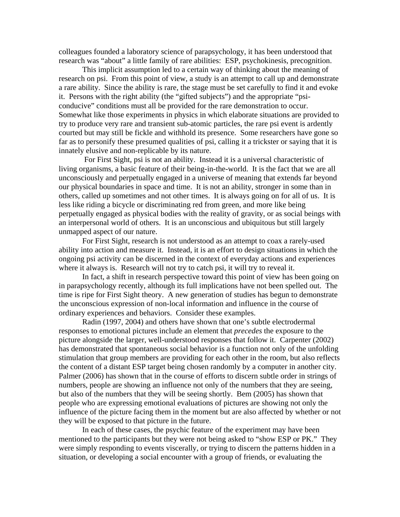colleagues founded a laboratory science of parapsychology, it has been understood that research was "about" a little family of rare abilities: ESP, psychokinesis, precognition.

This implicit assumption led to a certain way of thinking about the meaning of research on psi. From this point of view, a study is an attempt to call up and demonstrate a rare ability. Since the ability is rare, the stage must be set carefully to find it and evoke it. Persons with the right ability (the "gifted subjects") and the appropriate "psiconducive" conditions must all be provided for the rare demonstration to occur. Somewhat like those experiments in physics in which elaborate situations are provided to try to produce very rare and transient sub-atomic particles, the rare psi event is ardently courted but may still be fickle and withhold its presence. Some researchers have gone so far as to personify these presumed qualities of psi, calling it a trickster or saying that it is innately elusive and non-replicable by its nature.

 For First Sight, psi is not an ability. Instead it is a universal characteristic of living organisms, a basic feature of their being-in-the-world. It is the fact that we are all unconsciously and perpetually engaged in a universe of meaning that extends far beyond our physical boundaries in space and time. It is not an ability, stronger in some than in others, called up sometimes and not other times. It is always going on for all of us. It is less like riding a bicycle or discriminating red from green, and more like being perpetually engaged as physical bodies with the reality of gravity, or as social beings with an interpersonal world of others. It is an unconscious and ubiquitous but still largely unmapped aspect of our nature.

 For First Sight, research is not understood as an attempt to coax a rarely-used ability into action and measure it. Instead, it is an effort to design situations in which the ongoing psi activity can be discerned in the context of everyday actions and experiences where it always is. Research will not try to catch psi, it will try to reveal it.

 In fact, a shift in research perspective toward this point of view has been going on in parapsychology recently, although its full implications have not been spelled out. The time is ripe for First Sight theory. A new generation of studies has begun to demonstrate the unconscious expression of non-local information and influence in the course of ordinary experiences and behaviors. Consider these examples.

Radin (1997, 2004) and others have shown that one's subtle electrodermal responses to emotional pictures include an element that *precedes* the exposure to the picture alongside the larger, well-understood responses that follow it. Carpenter (2002) has demonstrated that spontaneous social behavior is a function not only of the unfolding stimulation that group members are providing for each other in the room, but also reflects the content of a distant ESP target being chosen randomly by a computer in another city. Palmer (2006) has shown that in the course of efforts to discern subtle order in strings of numbers, people are showing an influence not only of the numbers that they are seeing, but also of the numbers that they will be seeing shortly. Bem (2005) has shown that people who are expressing emotional evaluations of pictures are showing not only the influence of the picture facing them in the moment but are also affected by whether or not they will be exposed to that picture in the future.

In each of these cases, the psychic feature of the experiment may have been mentioned to the participants but they were not being asked to "show ESP or PK." They were simply responding to events viscerally, or trying to discern the patterns hidden in a situation, or developing a social encounter with a group of friends, or evaluating the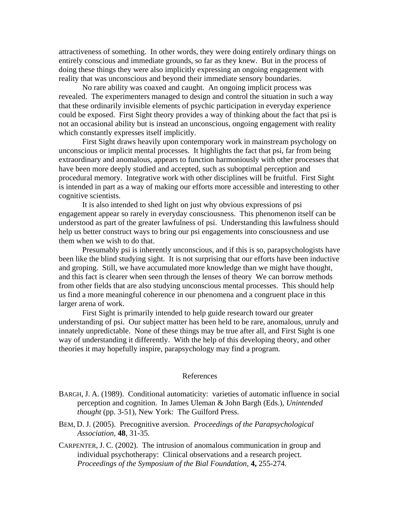attractiveness of something. In other words, they were doing entirely ordinary things on entirely conscious and immediate grounds, so far as they knew. But in the process of doing these things they were also implicitly expressing an ongoing engagement with reality that was unconscious and beyond their immediate sensory boundaries.

No rare ability was coaxed and caught. An ongoing implicit process was revealed. The experimenters managed to design and control the situation in such a way that these ordinarily invisible elements of psychic participation in everyday experience could be exposed. First Sight theory provides a way of thinking about the fact that psi is not an occasional ability but is instead an unconscious, ongoing engagement with reality which constantly expresses itself implicitly.

 First Sight draws heavily upon contemporary work in mainstream psychology on unconscious or implicit mental processes. It highlights the fact that psi, far from being extraordinary and anomalous, appears to function harmoniously with other processes that have been more deeply studied and accepted, such as suboptimal perception and procedural memory. Integrative work with other disciplines will be fruitful. First Sight is intended in part as a way of making our efforts more accessible and interesting to other cognitive scientists.

 It is also intended to shed light on just why obvious expressions of psi engagement appear so rarely in everyday consciousness. This phenomenon itself can be understood as part of the greater lawfulness of psi. Understanding this lawfulness should help us better construct ways to bring our psi engagements into consciousness and use them when we wish to do that.

Presumably psi is inherently unconscious, and if this is so, parapsychologists have been like the blind studying sight. It is not surprising that our efforts have been inductive and groping. Still, we have accumulated more knowledge than we might have thought, and this fact is clearer when seen through the lenses of theory We can borrow methods from other fields that are also studying unconscious mental processes. This should help us find a more meaningful coherence in our phenomena and a congruent place in this larger arena of work.

 First Sight is primarily intended to help guide research toward our greater understanding of psi. Our subject matter has been held to be rare, anomalous, unruly and innately unpredictable. None of these things may be true after all, and First Sight is one way of understanding it differently. With the help of this developing theory, and other theories it may hopefully inspire, parapsychology may find a program.

## References

- BARGH, J. A. (1989). Conditional automaticity: varieties of automatic influence in social perception and cognition. In James Uleman & John Bargh (Eds.), *Unintended thought* (pp. 3-51), New York: The Guilford Press.
- BEM, D. J. (2005). Precognitive aversion. *Proceedings of the Parapsychological Association,* **48**, 31-35.
- CARPENTER, J. C. (2002). The intrusion of anomalous communication in group and individual psychotherapy: Clinical observations and a research project. *Proceedings of the Symposium of the Bial Foundation,* **4,** 255-274*.*